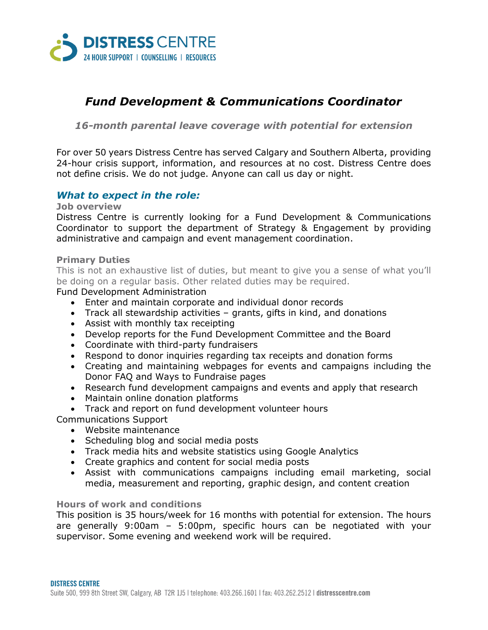

# *Fund Development & Communications Coordinator*

*16-month parental leave coverage with potential for extension*

For over 50 years Distress Centre has served Calgary and Southern Alberta, providing 24-hour crisis support, information, and resources at no cost. Distress Centre does not define crisis. We do not judge. Anyone can call us day or night.

# *What to expect in the role:*

#### **Job overview**

Distress Centre is currently looking for a Fund Development & Communications Coordinator to support the department of Strategy & Engagement by providing administrative and campaign and event management coordination.

#### **Primary Duties**

This is not an exhaustive list of duties, but meant to give you a sense of what you'll be doing on a regular basis. Other related duties may be required.

Fund Development Administration

- Enter and maintain corporate and individual donor records
- Track all stewardship activities grants, gifts in kind, and donations
- Assist with monthly tax receipting
- Develop reports for the Fund Development Committee and the Board
- Coordinate with third-party fundraisers
- Respond to donor inquiries regarding tax receipts and donation forms
- Creating and maintaining webpages for events and campaigns including the Donor FAQ and Ways to Fundraise pages
- Research fund development campaigns and events and apply that research
- Maintain online donation platforms
- Track and report on fund development volunteer hours

Communications Support

- Website maintenance
- Scheduling blog and social media posts
- Track media hits and website statistics using Google Analytics
- Create graphics and content for social media posts
- Assist with communications campaigns including email marketing, social media, measurement and reporting, graphic design, and content creation

### **Hours of work and conditions**

This position is 35 hours/week for 16 months with potential for extension. The hours are generally 9:00am – 5:00pm, specific hours can be negotiated with your supervisor. Some evening and weekend work will be required.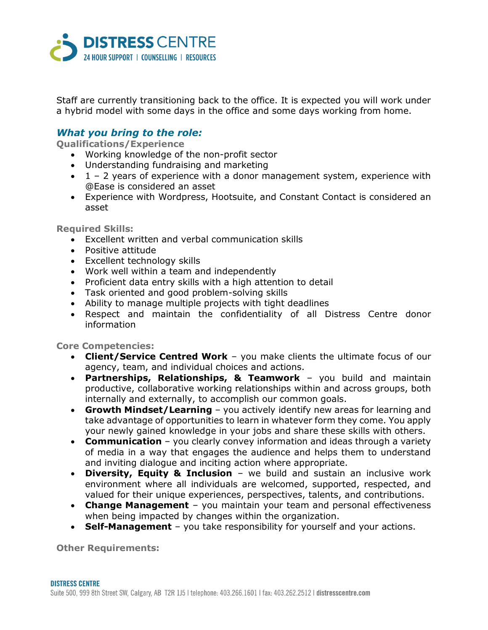

Staff are currently transitioning back to the office. It is expected you will work under a hybrid model with some days in the office and some days working from home.

## *What you bring to the role:*

**Qualifications/Experience**

- Working knowledge of the non-profit sector
- Understanding fundraising and marketing
- $\bullet$  1 2 years of experience with a donor management system, experience with @Ease is considered an asset
- Experience with Wordpress, Hootsuite, and Constant Contact is considered an asset

**Required Skills:**

- Excellent written and verbal communication skills
- Positive attitude
- Excellent technology skills
- Work well within a team and independently
- Proficient data entry skills with a high attention to detail
- Task oriented and good problem-solving skills
- Ability to manage multiple projects with tight deadlines
- Respect and maintain the confidentiality of all Distress Centre donor information

**Core Competencies:**

- **Client/Service Centred Work** you make clients the ultimate focus of our agency, team, and individual choices and actions.
- **Partnerships, Relationships, & Teamwork** you build and maintain productive, collaborative working relationships within and across groups, both internally and externally, to accomplish our common goals.
- **Growth Mindset/Learning** you actively identify new areas for learning and take advantage of opportunities to learn in whatever form they come. You apply your newly gained knowledge in your jobs and share these skills with others.
- **Communication** you clearly convey information and ideas through a variety of media in a way that engages the audience and helps them to understand and inviting dialogue and inciting action where appropriate.
- **Diversity, Equity & Inclusion** we build and sustain an inclusive work environment where all individuals are welcomed, supported, respected, and valued for their unique experiences, perspectives, talents, and contributions.
- **Change Management** you maintain your team and personal effectiveness when being impacted by changes within the organization.
- **Self-Management** you take responsibility for yourself and your actions.

**Other Requirements:**